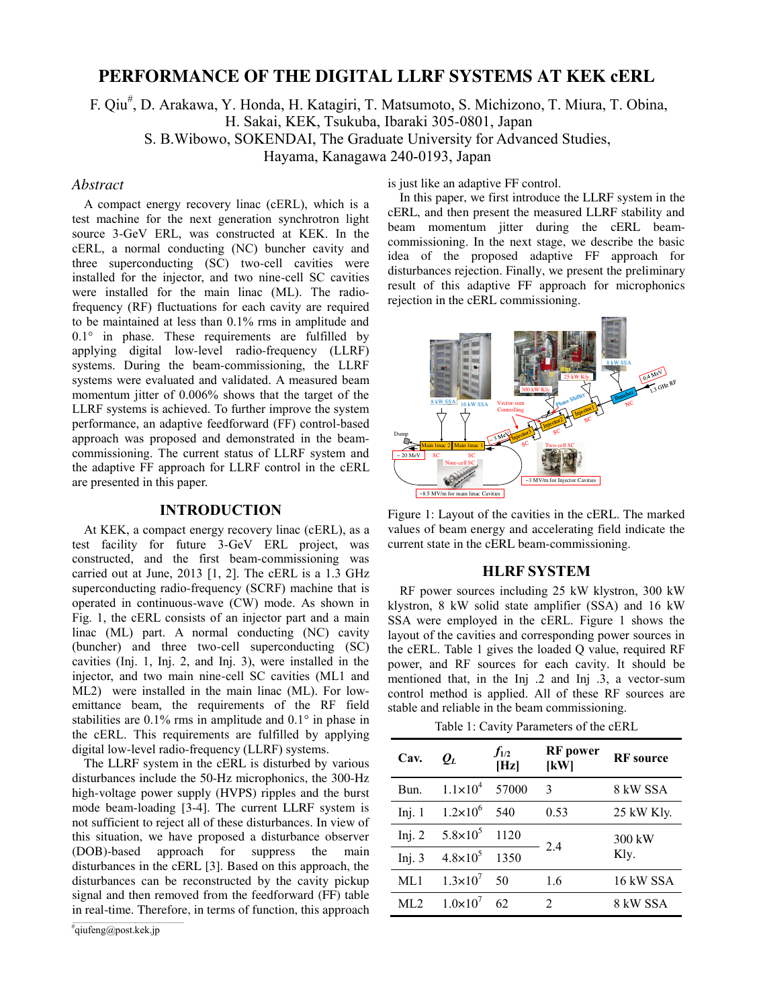# **PERFORMANCE OF THE DIGITAL LLRF SYSTEMS AT KEK cERL**

F. Qiu # , D. Arakawa, Y. Honda, H. Katagiri, T. Matsumoto, S. Michizono, T. Miura, T. Obina, H. Sakai, KEK, Tsukuba, Ibaraki 305-0801, Japan

S. B.Wibowo, SOKENDAI, The Graduate University for Advanced Studies,

Hayama, Kanagawa 240-0193, Japan

### *Abstract*

A compact energy recovery linac (cERL), which is a test machine for the next generation synchrotron light source 3-GeV ERL, was constructed at KEK. In the cERL, a normal conducting (NC) buncher cavity and three superconducting (SC) two-cell cavities were installed for the injector, and two nine-cell SC cavities were installed for the main linac (ML). The radiofrequency (RF) fluctuations for each cavity are required to be maintained at less than 0.1% rms in amplitude and 0.1° in phase. These requirements are fulfilled by applying digital low-level radio-frequency (LLRF) systems. During the beam-commissioning, the LLRF systems were evaluated and validated. A measured beam momentum jitter of 0.006% shows that the target of the LLRF systems is achieved. To further improve the system performance, an adaptive feedforward (FF) control-based approach was proposed and demonstrated in the beamcommissioning. The current status of LLRF system and the adaptive FF approach for LLRF control in the cERL are presented in this paper.

# **INTRODUCTION**

At KEK, a compact energy recovery linac (cERL), as a test facility for future 3-GeV ERL project, was constructed, and the first beam-commissioning was carried out at June, 2013 [1, 2]. The cERL is a 1.3 GHz superconducting radio-frequency (SCRF) machine that is operated in continuous-wave (CW) mode. As shown in Fig. 1, the cERL consists of an injector part and a main linac (ML) part. A normal conducting (NC) cavity (buncher) and three two-cell superconducting (SC) cavities (Inj. 1, Inj. 2, and Inj. 3), were installed in the injector, and two main nine-cell SC cavities (ML1 and ML2) were installed in the main linac (ML). For lowemittance beam, the requirements of the RF field stabilities are 0.1% rms in amplitude and 0.1° in phase in the cERL. This requirements are fulfilled by applying digital low-level radio-frequency (LLRF) systems.

The LLRF system in the cERL is disturbed by various disturbances include the 50-Hz microphonics, the 300-Hz high-voltage power supply (HVPS) ripples and the burst mode beam-loading [3-4]. The current LLRF system is not sufficient to reject all of these disturbances. In view of this situation, we have proposed a disturbance observer (DOB)-based approach for suppress the main disturbances in the cERL [3]. Based on this approach, the disturbances can be reconstructed by the cavity pickup signal and then removed from the feedforward (FF) table in real-time. Therefore, in terms of function, this approach

is just like an adaptive FF control.

In this paper, we first introduce the LLRF system in the cERL, and then present the measured LLRF stability and beam momentum jitter during the cERL beamcommissioning. In the next stage, we describe the basic idea of the proposed adaptive FF approach for disturbances rejection. Finally, we present the preliminary result of this adaptive FF approach for microphonics rejection in the cERL commissioning.



Figure 1: Layout of the cavities in the cERL. The marked values of beam energy and accelerating field indicate the current state in the cERL beam-commissioning.

#### **HLRF SYSTEM**

RF power sources including 25 kW klystron, 300 kW klystron, 8 kW solid state amplifier (SSA) and 16 kW SSA were employed in the cERL. Figure 1 shows the layout of the cavities and corresponding power sources in the cERL. Table 1 gives the loaded Q value, required RF power, and RF sources for each cavity. It should be mentioned that, in the Inj .2 and Inj .3, a vector-sum control method is applied. All of these RF sources are stable and reliable in the beam commissioning.

Table 1: Cavity Parameters of the cERL

| Cav.     | $\bm{\varrho}_L$    | $f_{1/2}$<br>[Hz] | <b>RF</b> power<br>[KW] | <b>RF</b> source |
|----------|---------------------|-------------------|-------------------------|------------------|
| Bun.     | $1.1 \times 10^{4}$ | 57000             | 3                       | 8 kW SSA         |
| Inj. $1$ | $1.2 \times 10^{6}$ | 540               | 0.53                    | 25 kW Kly.       |
| Inj. $2$ | $5.8 \times 10^5$   | 1120              | 2.4                     | 300 kW<br>Kly.   |
| Inj. $3$ | $4.8 \times 10^{5}$ | 1350              |                         |                  |
| ML1      | $1.3 \times 10^{7}$ | 50                | 1.6                     | 16 kW SSA        |
| ML2      | $1.0 \times 10^{7}$ | 62                | $\mathfrak{D}$          | 8 kW SSA         |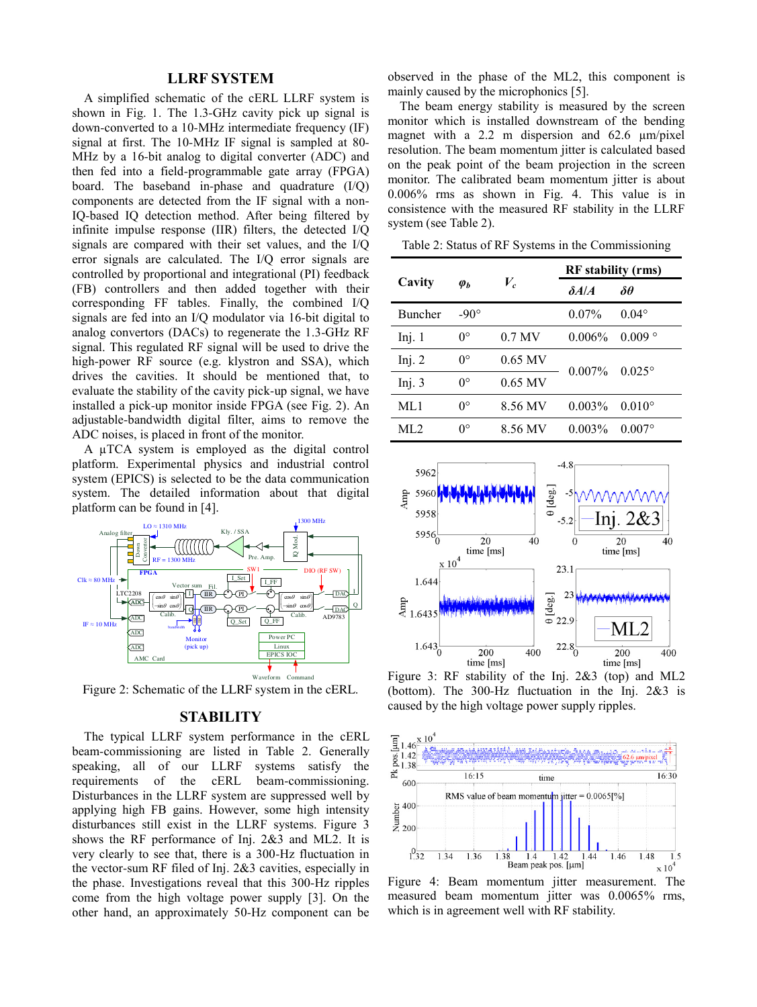# **LLRF SYSTEM**

A simplified schematic of the cERL LLRF system is shown in Fig. 1. The 1.3-GHz cavity pick up signal is down-converted to a 10-MHz intermediate frequency (IF) signal at first. The 10-MHz IF signal is sampled at 80- MHz by a 16-bit analog to digital converter (ADC) and then fed into a field-programmable gate array (FPGA) board. The baseband in-phase and quadrature (I/Q) components are detected from the IF signal with a non-IQ-based IQ detection method. After being filtered by infinite impulse response (IIR) filters, the detected I/Q signals are compared with their set values, and the I/Q error signals are calculated. The I/Q error signals are controlled by proportional and integrational (PI) feedback (FB) controllers and then added together with their corresponding FF tables. Finally, the combined I/Q signals are fed into an I/Q modulator via 16-bit digital to analog convertors (DACs) to regenerate the 1.3-GHz RF signal. This regulated RF signal will be used to drive the high-power RF source (e.g. klystron and SSA), which drives the cavities. It should be mentioned that, to evaluate the stability of the cavity pick-up signal, we have installed a pick-up monitor inside FPGA (see Fig. 2). An adjustable-bandwidth digital filter, aims to remove the ADC noises, is placed in front of the monitor.

A µTCA system is employed as the digital control platform. Experimental physics and industrial control system (EPICS) is selected to be the data communication system. The detailed information about that digital platform can be found in [4].



Figure 2: Schematic of the LLRF system in the cERL.

## **STABILITY**

The typical LLRF system performance in the cERL beam-commissioning are listed in Table 2. Generally speaking, all of our LLRF systems satisfy the requirements of the cERL beam-commissioning. Disturbances in the LLRF system are suppressed well by applying high FB gains. However, some high intensity disturbances still exist in the LLRF systems. Figure 3 shows the RF performance of Inj. 2&3 and ML2. It is very clearly to see that, there is a 300-Hz fluctuation in the vector-sum RF filed of Inj. 2&3 cavities, especially in the phase. Investigations reveal that this 300-Hz ripples come from the high voltage power supply [3]. On the other hand, an approximately 50-Hz component can be

observed in the phase of the ML2, this component is mainly caused by the microphonics [5].

The beam energy stability is measured by the screen monitor which is installed downstream of the bending magnet with a 2.2 m dispersion and 62.6  $\mu$ m/pixel resolution. The beam momentum jitter is calculated based on the peak point of the beam projection in the screen monitor. The calibrated beam momentum jitter is about 0.006% rms as shown in Fig. 4. This value is in consistence with the measured RF stability in the LLRF system (see Table 2).

Table 2: Status of RF Systems in the Commissioning

|                | $\varphi_b$ | $V_c$     | <b>RF</b> stability (rms) |                 |
|----------------|-------------|-----------|---------------------------|-----------------|
| Cavity         |             |           | $\delta A/A$              | $\delta\theta$  |
| <b>Buncher</b> | $-90^\circ$ |           | $0.07\%$                  | $0.04^\circ$    |
| Inj. $1$       | $0^{\circ}$ | $0.7$ MV  | $0.006\%$                 | 0.009           |
| Inj. $2$       | $0^{\circ}$ | $0.65$ MV | $0.007\%$                 | $0.025^{\circ}$ |
| Inj. $3$       | $0^{\circ}$ | $0.65$ MV |                           |                 |
| ML1            | $0^{\circ}$ | 8.56 MV   | $0.003\%$                 | $0.010^{\circ}$ |
| ML2            | $0^{\circ}$ | 8.56 MV   | $0.003\%$                 | $0.007$ °       |



Figure 3: RF stability of the Inj. 2&3 (top) and ML2 (bottom). The 300-Hz fluctuation in the Inj. 2&3 is caused by the high voltage power supply ripples.



Figure 4: Beam momentum jitter measurement. The measured beam momentum jitter was 0.0065% rms, which is in agreement well with RF stability.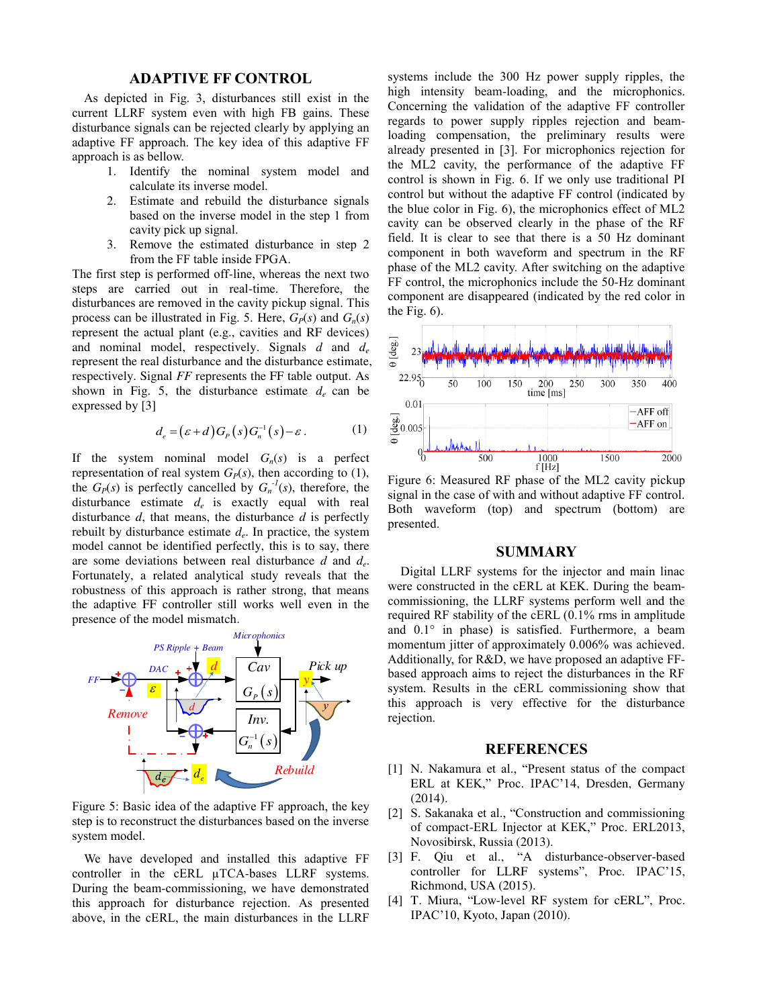# **ADAPTIVE FF CONTROL**

As depicted in Fig. 3, disturbances still exist in the current LLRF system even with high FB gains. These disturbance signals can be rejected clearly by applying an adaptive FF approach. The key idea of this adaptive FF approach is as bellow.

- 1. Identify the nominal system model and calculate its inverse model.
- 2. Estimate and rebuild the disturbance signals based on the inverse model in the step 1 from cavity pick up signal.
- 3. Remove the estimated disturbance in step 2 from the FF table inside FPGA.

The first step is performed off-line, whereas the next two steps are carried out in real-time. Therefore, the disturbances are removed in the cavity pickup signal. This process can be illustrated in Fig. 5. Here,  $G_P(s)$  and  $G_n(s)$ represent the actual plant (e.g., cavities and RF devices) and nominal model, respectively. Signals *d* and *d<sup>e</sup>* represent the real disturbance and the disturbance estimate, respectively. Signal *FF* represents the FF table output. As shown in Fig. 5, the disturbance estimate  $d_e$  can be expressed by [3]

$$
d_e = (\varepsilon + d)G_P(s)G_n^{-1}(s) - \varepsilon.
$$
 (1)

If the system nominal model  $G_n(s)$  is a perfect representation of real system  $G_P(s)$ , then according to (1), the  $G_P(s)$  is perfectly cancelled by  $G_n^{-1}(s)$ , therefore, the disturbance estimate *de* is exactly equal with real disturbance *d*, that means, the disturbance *d* is perfectly rebuilt by disturbance estimate *d<sup>e</sup>* . In practice, the system model cannot be identified perfectly, this is to say, there are some deviations between real disturbance *d* and *d<sup>e</sup>* . Fortunately, a related analytical study reveals that the robustness of this approach is rather strong, that means the adaptive FF controller still works well even in the presence of the model mismatch.



Figure 5: Basic idea of the adaptive FF approach, the key step is to reconstruct the disturbances based on the inverse system model.

We have developed and installed this adaptive FF controller in the cERL µTCA-bases LLRF systems. During the beam-commissioning, we have demonstrated this approach for disturbance rejection. As presented above, in the cERL, the main disturbances in the LLRF

systems include the 300 Hz power supply ripples, the high intensity beam-loading, and the microphonics. Concerning the validation of the adaptive FF controller regards to power supply ripples rejection and beamloading compensation, the preliminary results were already presented in [3]. For microphonics rejection for the ML2 cavity, the performance of the adaptive FF control is shown in Fig. 6. If we only use traditional PI control but without the adaptive FF control (indicated by the blue color in Fig. 6), the microphonics effect of ML2 cavity can be observed clearly in the phase of the RF field. It is clear to see that there is a 50 Hz dominant component in both waveform and spectrum in the RF phase of the ML2 cavity. After switching on the adaptive FF control, the microphonics include the 50-Hz dominant component are disappeared (indicated by the red color in the Fig. 6).



Figure 6: Measured RF phase of the ML2 cavity pickup signal in the case of with and without adaptive FF control. Both waveform (top) and spectrum (bottom) are presented.

# **SUMMARY**

 Digital LLRF systems for the injector and main linac were constructed in the cERL at KEK. During the beamcommissioning, the LLRF systems perform well and the required RF stability of the cERL (0.1% rms in amplitude and 0.1° in phase) is satisfied. Furthermore, a beam momentum jitter of approximately 0.006% was achieved. Additionally, for R&D, we have proposed an adaptive FFbased approach aims to reject the disturbances in the RF system. Results in the cERL commissioning show that this approach is very effective for the disturbance rejection.

#### **REFERENCES**

- [1] N. Nakamura et al., "Present status of the compact ERL at KEK," Proc. IPAC'14, Dresden, Germany (2014).
- [2] S. Sakanaka et al., "Construction and commissioning of compact-ERL Injector at KEK," Proc. ERL2013, Novosibirsk, Russia (2013).
- [3] F. Qiu et al., "A disturbance-observer-based controller for LLRF systems", Proc. IPAC'15, Richmond, USA (2015).
- [4] T. Miura, "Low-level RF system for cERL", Proc. IPAC'10, Kyoto, Japan (2010).